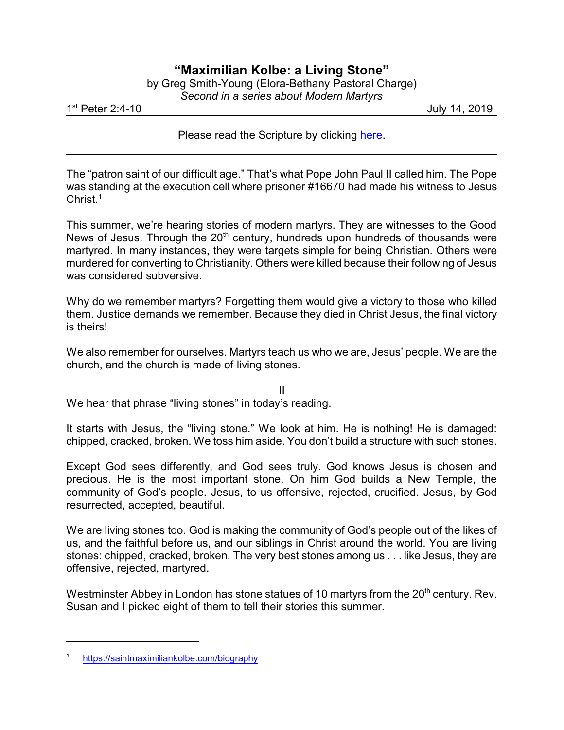## **"Maximilian Kolbe: a Living Stone"**

| by Greg Smith-Young (Elora-Bethany Pastoral Charge) |
|-----------------------------------------------------|
| Second in a series about Modern Martyrs             |

1 st

July 14, 2019

Please read the Scripture by clicking [here](https://www.biblegateway.com/passage/?search=1+Peter+2%3A4-10&version=CEB).

The "patron saint of our difficult age." That's what Pope John Paul II called him. The Pope was standing at the execution cell where prisoner #16670 had made his witness to Jesus  $Christ<sup>1</sup>$ 

This summer, we're hearing stories of modern martyrs. They are witnesses to the Good News of Jesus. Through the 20<sup>th</sup> century, hundreds upon hundreds of thousands were martyred. In many instances, they were targets simple for being Christian. Others were murdered for converting to Christianity. Others were killed because their following of Jesus was considered subversive.

Why do we remember martyrs? Forgetting them would give a victory to those who killed them. Justice demands we remember. Because they died in Christ Jesus, the final victory is theirs!

We also remember for ourselves. Martyrs teach us who we are, Jesus' people. We are the church, and the church is made of living stones.

II

We hear that phrase "living stones" in today's reading.

It starts with Jesus, the "living stone." We look at him. He is nothing! He is damaged: chipped, cracked, broken. We toss him aside. You don't build a structure with such stones.

Except God sees differently, and God sees truly. God knows Jesus is chosen and precious. He is the most important stone. On him God builds a New Temple, the community of God's people. Jesus, to us offensive, rejected, crucified. Jesus, by God resurrected, accepted, beautiful.

We are living stones too. God is making the community of God's people out of the likes of us, and the faithful before us, and our siblings in Christ around the world. You are living stones: chipped, cracked, broken. The very best stones among us . . . like Jesus, they are offensive, rejected, martyred.

Westminster Abbey in London has stone statues of 10 martyrs from the  $20^{\text{th}}$  century. Rev. Susan and I picked eight of them to tell their stories this summer.

<sup>1</sup> [https://saintmaximiliankolbe.com/biography](https://saintmaximiliankolbe.com/biography/)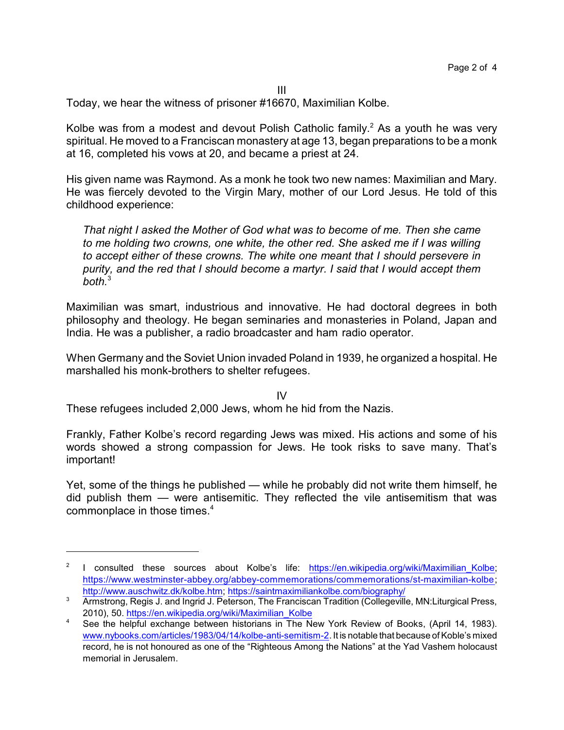III

Today, we hear the witness of prisoner #16670, Maximilian Kolbe.

Kolbe was from a modest and devout Polish Catholic family.<sup>2</sup> As a youth he was very spiritual. He moved to a Franciscan monastery at age 13, began preparations to be a monk at 16, completed his vows at 20, and became a priest at 24.

His given name was Raymond. As a monk he took two new names: Maximilian and Mary. He was fiercely devoted to the Virgin Mary, mother of our Lord Jesus. He told of this childhood experience:

*That night I asked the Mother of God what was to become of me. Then she came to me holding two crowns, one white, the other red. She asked me if I was willing to accept either of these crowns. The white one meant that I should persevere in purity, and the red that I should become a martyr. I said that I would accept them both.*<sup>3</sup>

Maximilian was smart, industrious and innovative. He had doctoral degrees in both philosophy and theology. He began seminaries and monasteries in Poland, Japan and India. He was a publisher, a radio broadcaster and ham radio operator.

When Germany and the Soviet Union invaded Poland in 1939, he organized a hospital. He marshalled his monk-brothers to shelter refugees.

IV

These refugees included 2,000 Jews, whom he hid from the Nazis.

Frankly, Father Kolbe's record regarding Jews was mixed. His actions and some of his words showed a strong compassion for Jews. He took risks to save many. That's important!

Yet, some of the things he published — while he probably did not write them himself, he did publish them — were antisemitic. They reflected the vile antisemitism that was commonplace in those times.<sup>4</sup>

<sup>&</sup>lt;sup>2</sup> I consulted these sources about Kolbe's life: [https://en.wikipedia.org/wiki/Maximilian\\_Kolbe](https://en.wikipedia.org/wiki/Maximilian_Kolbe); [https://www.westminster-abbey.org/abbey-commemorations/commemorations/st-maximilian-kolbe](https://www.westminster-abbey.org/abbey-commemorations/commemorations/st-maximilian-kolbe#); <http://www.auschwitz.dk/kolbe.htm>;<https://saintmaximiliankolbe.com/biography/>

<sup>&</sup>lt;sup>3</sup> Armstrong, Regis J. and Ingrid J. Peterson, The Franciscan Tradition (Collegeville, MN:Liturgical Press, 2010), 50. [https://en.wikipedia.org/wiki/Maximilian\\_Kolbe](https://en.wikipedia.org/wiki/Maximilian_Kolbe)

See the helpful exchange between historians in The New York Review of Books, (April 14, 1983). [www.nybooks.com/articles/1983/04/14/kolbe-anti-semitism-2](https://www.nybooks.com/articles/1983/04/14/kolbe-anti-semitism-2/). It is notable that because of Koble's mixed record, he is not honoured as one of the "Righteous Among the Nations" at the Yad Vashem holocaust memorial in Jerusalem.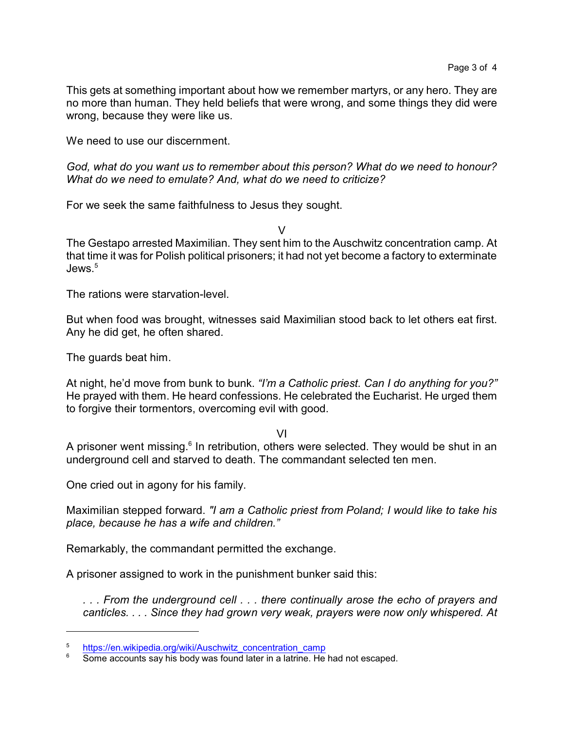This gets at something important about how we remember martyrs, or any hero. They are no more than human. They held beliefs that were wrong, and some things they did were wrong, because they were like us.

We need to use our discernment.

*God, what do you want us to remember about this person? What do we need to honour? What do we need to emulate? And, what do we need to criticize?* 

For we seek the same faithfulness to Jesus they sought.

V

The Gestapo arrested Maximilian. They sent him to the Auschwitz concentration camp. At that time it was for Polish political prisoners; it had not yet become a factory to exterminate  $I$ ews.<sup>5</sup>

The rations were starvation-level.

But when food was brought, witnesses said Maximilian stood back to let others eat first. Any he did get, he often shared.

The guards beat him.

At night, he'd move from bunk to bunk. *"I'm a Catholic priest. Can I do anything for you?"* He prayed with them. He heard confessions. He celebrated the Eucharist. He urged them to forgive their tormentors, overcoming evil with good.

VI

A prisoner went missing.<sup>6</sup> In retribution, others were selected. They would be shut in an underground cell and starved to death. The commandant selected ten men.

One cried out in agony for his family.

Maximilian stepped forward. *"I am a Catholic priest from Poland; I would like to take his place, because he has a wife and children."*

Remarkably, the commandant permitted the exchange.

A prisoner assigned to work in the punishment bunker said this:

*. . . From the underground cell . . . there continually arose the echo of prayers and canticles. . . . Since they had grown very weak, prayers were now only whispered. At*

<sup>5</sup> [https://en.wikipedia.org/wiki/Auschwitz\\_concentration\\_camp](https://en.wikipedia.org/wiki/Auschwitz_concentration_camp)

<sup>&</sup>lt;sup>6</sup> Some accounts say his body was found later in a latrine. He had not escaped.